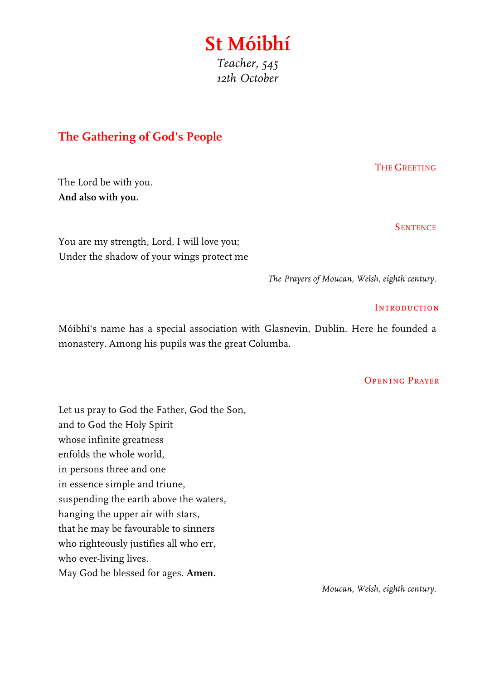# **St Móibhí** *Teacher, 545 12th October*

## **The Gathering of God's People**

The Lord be with you. **And also with you.**

THE GREETING

**SENTENCE** 

You are my strength, Lord, I will love you; Under the shadow of your wings protect me

*The Prayers of Moucan, Welsh, eighth century.*

#### **INTRODUCTION**

Móibhí's name has a special association with Glasnevin, Dublin. Here he founded a monastery. Among his pupils was the great Columba.

### Opening Prayer

Let us pray to God the Father, God the Son, and to God the Holy Spirit whose infinite greatness enfolds the whole world, in persons three and one in essence simple and triune, suspending the earth above the waters, hanging the upper air with stars, that he may be favourable to sinners who righteously justifies all who err, who ever-living lives. May God be blessed for ages. **Amen.**

*Moucan, Welsh, eighth century.*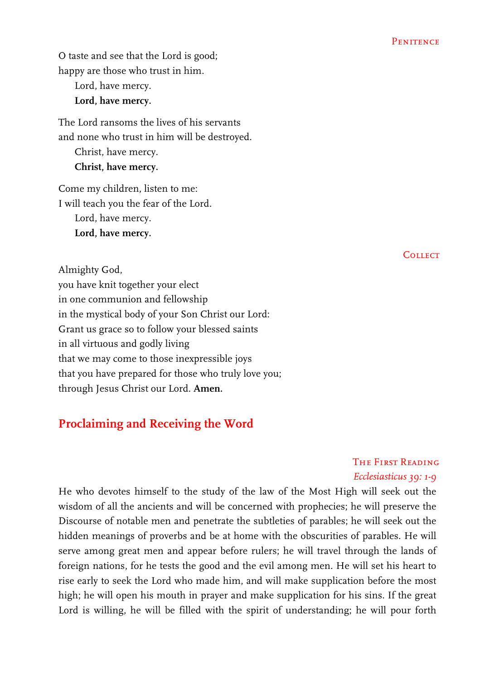O taste and see that the Lord is good; happy are those who trust in him.

Lord, have mercy. **Lord, have mercy.**

The Lord ransoms the lives of his servants and none who trust in him will be destroyed. Christ, have mercy. **Christ, have mercy.**

Come my children, listen to me: I will teach you the fear of the Lord. Lord, have mercy. **Lord, have mercy.**

Almighty God, you have knit together your elect in one communion and fellowship in the mystical body of your Son Christ our Lord: Grant us grace so to follow your blessed saints in all virtuous and godly living that we may come to those inexpressible joys that you have prepared for those who truly love you; through Jesus Christ our Lord. **Amen.**

### **Proclaiming and Receiving the Word**

The First Reading *Ecclesiasticus 39: 1-9*

He who devotes himself to the study of the law of the Most High will seek out the wisdom of all the ancients and will be concerned with prophecies; he will preserve the Discourse of notable men and penetrate the subtleties of parables; he will seek out the hidden meanings of proverbs and be at home with the obscurities of parables. He will serve among great men and appear before rulers; he will travel through the lands of foreign nations, for he tests the good and the evil among men. He will set his heart to rise early to seek the Lord who made him, and will make supplication before the most high; he will open his mouth in prayer and make supplication for his sins. If the great Lord is willing, he will be filled with the spirit of understanding; he will pour forth

**COLLECT**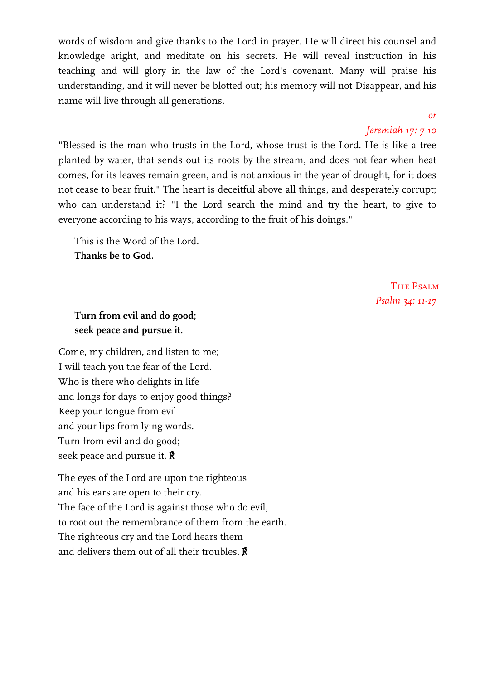words of wisdom and give thanks to the Lord in prayer. He will direct his counsel and knowledge aright, and meditate on his secrets. He will reveal instruction in his teaching and will glory in the law of the Lord's covenant. Many will praise his understanding, and it will never be blotted out; his memory will not Disappear, and his name will live through all generations.

#### *or*

#### *Jeremiah 17: 7-10*

"Blessed is the man who trusts in the Lord, whose trust is the Lord. He is like a tree planted by water, that sends out its roots by the stream, and does not fear when heat comes, for its leaves remain green, and is not anxious in the year of drought, for it does not cease to bear fruit." The heart is deceitful above all things, and desperately corrupt; who can understand it? "I the Lord search the mind and try the heart, to give to everyone according to his ways, according to the fruit of his doings."

This is the Word of the Lord. **Thanks be to God.**

> THE PSALM *Psalm 34: 11-17*

### **Turn from evil and do good; seek peace and pursue it.**

Come, my children, and listen to me; I will teach you the fear of the Lord. Who is there who delights in life and longs for days to enjoy good things? Keep your tongue from evil and your lips from lying words. Turn from evil and do good; seek peace and pursue it. ℟

The eyes of the Lord are upon the righteous and his ears are open to their cry. The face of the Lord is against those who do evil, to root out the remembrance of them from the earth. The righteous cry and the Lord hears them and delivers them out of all their troubles. ℟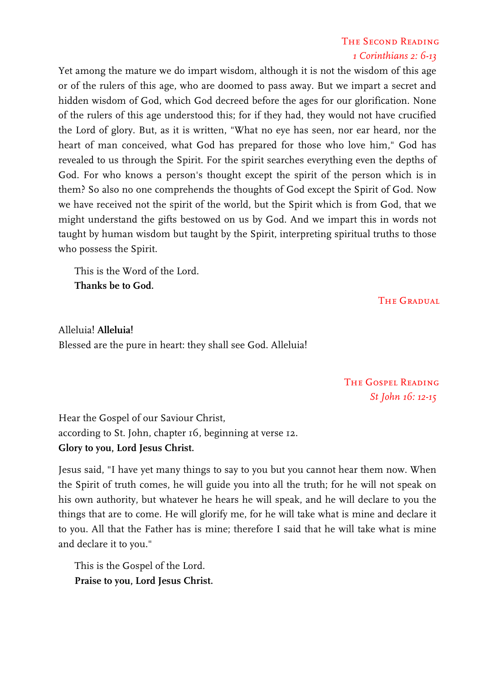### The Second Reading *1 Corinthians 2: 6-13*

Yet among the mature we do impart wisdom, although it is not the wisdom of this age or of the rulers of this age, who are doomed to pass away. But we impart a secret and hidden wisdom of God, which God decreed before the ages for our glorification. None of the rulers of this age understood this; for if they had, they would not have crucified the Lord of glory. But, as it is written, "What no eye has seen, nor ear heard, nor the heart of man conceived, what God has prepared for those who love him," God has revealed to us through the Spirit. For the spirit searches everything even the depths of God. For who knows a person's thought except the spirit of the person which is in them? So also no one comprehends the thoughts of God except the Spirit of God. Now we have received not the spirit of the world, but the Spirit which is from God, that we might understand the gifts bestowed on us by God. And we impart this in words not taught by human wisdom but taught by the Spirit, interpreting spiritual truths to those who possess the Spirit.

This is the Word of the Lord. **Thanks be to God.**

THE GRADUAL

Alleluia! **Alleluia!** Blessed are the pure in heart: they shall see God. Alleluia!

> The Gospel Reading *St John 16: 12-15*

Hear the Gospel of our Saviour Christ, according to St. John, chapter 16, beginning at verse 12. **Glory to you, Lord Jesus Christ.**

Jesus said, "I have yet many things to say to you but you cannot hear them now. When the Spirit of truth comes, he will guide you into all the truth; for he will not speak on his own authority, but whatever he hears he will speak, and he will declare to you the things that are to come. He will glorify me, for he will take what is mine and declare it to you. All that the Father has is mine; therefore I said that he will take what is mine and declare it to you."

This is the Gospel of the Lord. **Praise to you, Lord Jesus Christ.**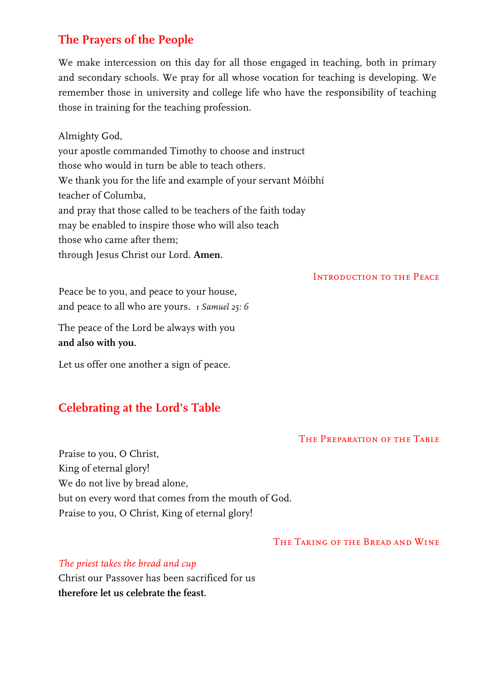## **The Prayers of the People**

We make intercession on this day for all those engaged in teaching, both in primary and secondary schools. We pray for all whose vocation for teaching is developing. We remember those in university and college life who have the responsibility of teaching those in training for the teaching profession.

Almighty God, your apostle commanded Timothy to choose and instruct those who would in turn be able to teach others. We thank you for the life and example of your servant Móibhí teacher of Columba, and pray that those called to be teachers of the faith today may be enabled to inspire those who will also teach those who came after them; through Jesus Christ our Lord. **Amen.**

Introduction to the Peace

Peace be to you, and peace to your house, and peace to all who are yours. *1 Samuel 25: 6*

The peace of the Lord be always with you **and also with you.**

Let us offer one another a sign of peace.

## **Celebrating at the Lord's Table**

### The Preparation of the Table

Praise to you, O Christ, King of eternal glory! We do not live by bread alone, but on every word that comes from the mouth of God. Praise to you, O Christ, King of eternal glory!

#### The Taking of the Bread and Wine

*The priest takes the bread and cup*

Christ our Passover has been sacrificed for us **therefore let us celebrate the feast.**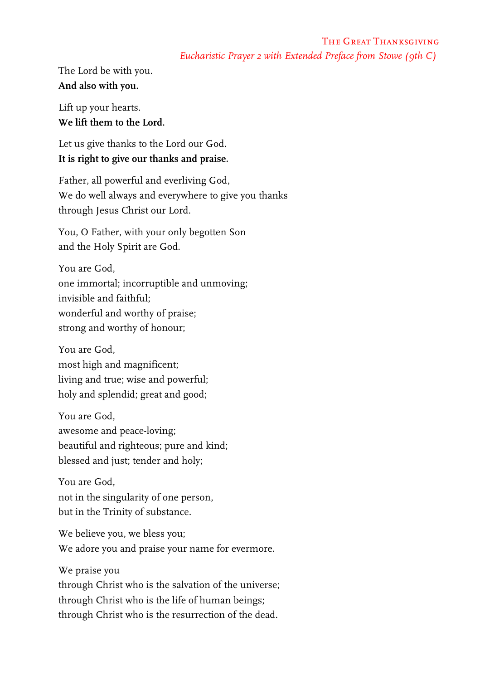### The Great Thanksgiving *Eucharistic Prayer 2 with Extended Preface from Stowe (9th C)*

The Lord be with you. **And also with you.**

Lift up your hearts. **We lift them to the Lord.**

Let us give thanks to the Lord our God. **It is right to give our thanks and praise.**

Father, all powerful and everliving God, We do well always and everywhere to give you thanks through Jesus Christ our Lord.

You, O Father, with your only begotten Son and the Holy Spirit are God.

You are God, one immortal; incorruptible and unmoving; invisible and faithful; wonderful and worthy of praise; strong and worthy of honour;

You are God, most high and magnificent; living and true; wise and powerful; holy and splendid; great and good;

You are God, awesome and peace-loving; beautiful and righteous; pure and kind; blessed and just; tender and holy;

You are God, not in the singularity of one person, but in the Trinity of substance.

We believe you, we bless you; We adore you and praise your name for evermore.

We praise you through Christ who is the salvation of the universe; through Christ who is the life of human beings; through Christ who is the resurrection of the dead.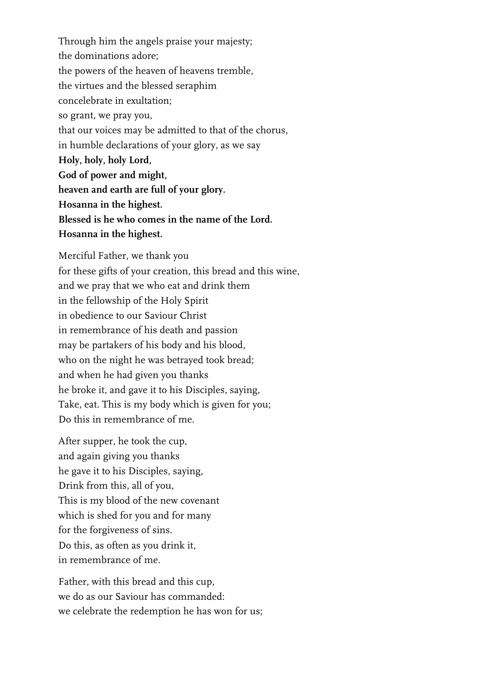Through him the angels praise your majesty; the dominations adore; the powers of the heaven of heavens tremble, the virtues and the blessed seraphim concelebrate in exultation; so grant, we pray you, that our voices may be admitted to that of the chorus, in humble declarations of your glory, as we say **Holy, holy, holy Lord, God of power and might, heaven and earth are full of your glory. Hosanna in the highest. Blessed is he who comes in the name of the Lord. Hosanna in the highest.**

Merciful Father, we thank you for these gifts of your creation, this bread and this wine, and we pray that we who eat and drink them in the fellowship of the Holy Spirit in obedience to our Saviour Christ in remembrance of his death and passion may be partakers of his body and his blood, who on the night he was betrayed took bread; and when he had given you thanks he broke it, and gave it to his Disciples, saying, Take, eat. This is my body which is given for you; Do this in remembrance of me.

After supper, he took the cup, and again giving you thanks he gave it to his Disciples, saying, Drink from this, all of you, This is my blood of the new covenant which is shed for you and for many for the forgiveness of sins. Do this, as often as you drink it, in remembrance of me.

Father, with this bread and this cup, we do as our Saviour has commanded: we celebrate the redemption he has won for us;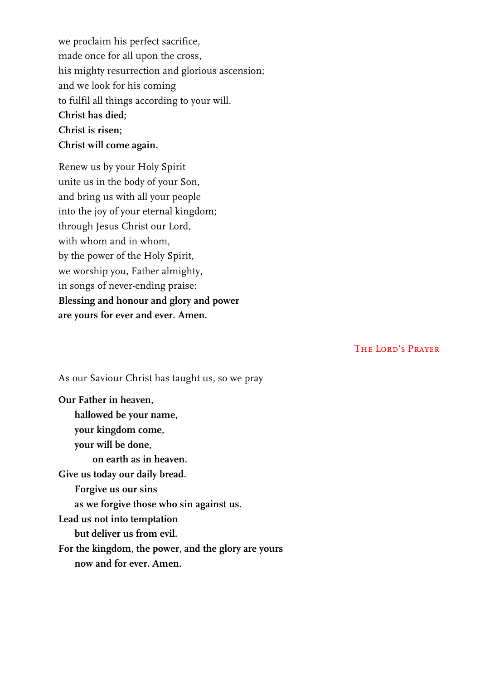we proclaim his perfect sacrifice, made once for all upon the cross, his mighty resurrection and glorious ascension; and we look for his coming to fulfil all things according to your will. **Christ has died; Christ is risen; Christ will come again.**

Renew us by your Holy Spirit unite us in the body of your Son, and bring us with all your people into the joy of your eternal kingdom; through Jesus Christ our Lord, with whom and in whom, by the power of the Holy Spirit, we worship you, Father almighty, in songs of never-ending praise: **Blessing and honour and glory and power are yours for ever and ever. Amen.**

The Lord's Prayer

As our Saviour Christ has taught us, so we pray

**Our Father in heaven, hallowed be your name, your kingdom come, your will be done, on earth as in heaven. Give us today our daily bread. Forgive us our sins as we forgive those who sin against us. Lead us not into temptation but deliver us from evil. For the kingdom, the power, and the glory are yours now and for ever. Amen.**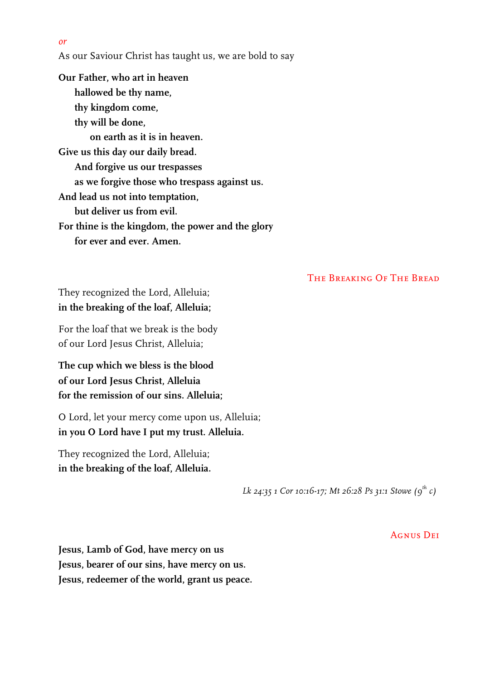*or*

As our Saviour Christ has taught us, we are bold to say

**Our Father, who art in heaven hallowed be thy name, thy kingdom come, thy will be done, on earth as it is in heaven. Give us this day our daily bread. And forgive us our trespasses as we forgive those who trespass against us. And lead us not into temptation, but deliver us from evil. For thine is the kingdom, the power and the glory for ever and ever. Amen.**

The Breaking Of The Bread

They recognized the Lord, Alleluia; **in the breaking of the loaf, Alleluia;**

For the loaf that we break is the body of our Lord Jesus Christ, Alleluia;

**The cup which we bless is the blood of our Lord Jesus Christ, Alleluia for the remission of our sins. Alleluia;**

O Lord, let your mercy come upon us, Alleluia; **in you O Lord have I put my trust. Alleluia.**

They recognized the Lord, Alleluia; **in the breaking of the loaf, Alleluia.**

*Lk 24:35 1 Cor 10:16-17; Mt 26:28 Ps 31:1 Stowe (9th c)*

**AGNUS DEI** 

**Jesus, Lamb of God, have mercy on us Jesus, bearer of our sins, have mercy on us. Jesus, redeemer of the world, grant us peace.**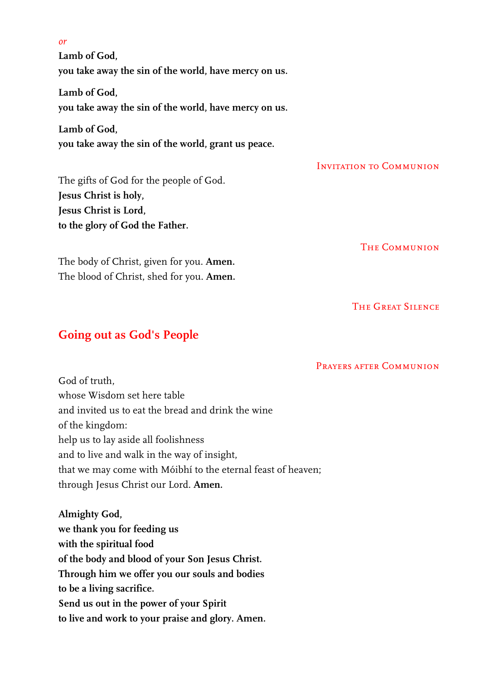**Lamb of God, you take away the sin of the world, have mercy on us.**

**Lamb of God, you take away the sin of the world, have mercy on us.**

**Lamb of God, you take away the sin of the world, grant us peace.**

The gifts of God for the people of God. **Jesus Christ is holy, Jesus Christ is Lord, to the glory of God the Father.**

The body of Christ, given for you. **Amen.** The blood of Christ, shed for you. **Amen.** Invitation to Communion

**THE COMMUNION** 

The Great Silence

### **Going out as God's People**

Prayers after Communion

God of truth whose Wisdom set here table and invited us to eat the bread and drink the wine of the kingdom: help us to lay aside all foolishness and to live and walk in the way of insight, that we may come with Móibhí to the eternal feast of heaven; through Jesus Christ our Lord. **Amen.**

**Almighty God, we thank you for feeding us with the spiritual food of the body and blood of your Son Jesus Christ. Through him we offer you our souls and bodies to be a living sacrifice. Send us out in the power of your Spirit to live and work to your praise and glory. Amen.**

#### *or*